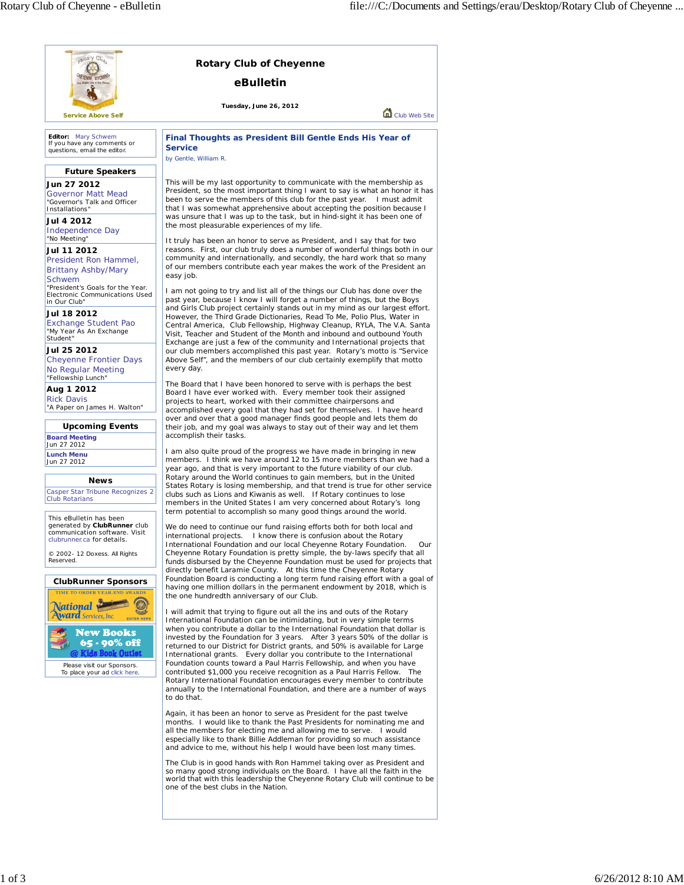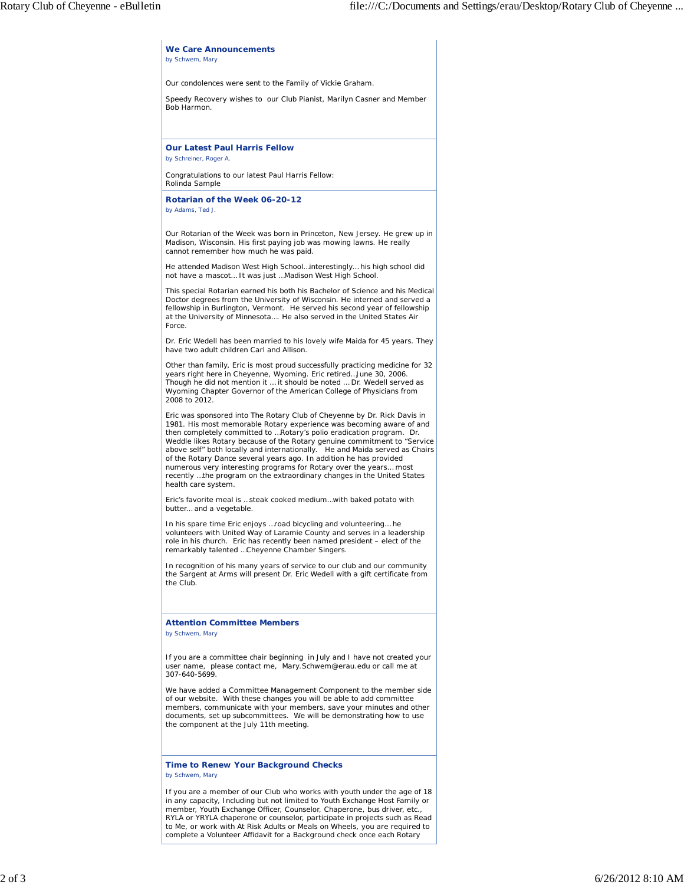| by Schwem, Mary                                                |                                                                                                                                                                                                                                                                                                                                                                                                                                                                                                                                                                                                            |
|----------------------------------------------------------------|------------------------------------------------------------------------------------------------------------------------------------------------------------------------------------------------------------------------------------------------------------------------------------------------------------------------------------------------------------------------------------------------------------------------------------------------------------------------------------------------------------------------------------------------------------------------------------------------------------|
|                                                                | Our condolences were sent to the Family of Vickie Graham.                                                                                                                                                                                                                                                                                                                                                                                                                                                                                                                                                  |
| Bob Harmon.                                                    | Speedy Recovery wishes to our Club Pianist, Marilyn Casner and Member                                                                                                                                                                                                                                                                                                                                                                                                                                                                                                                                      |
| <b>Our Latest Paul Harris Fellow</b><br>by Schreiner, Roger A. |                                                                                                                                                                                                                                                                                                                                                                                                                                                                                                                                                                                                            |
| Rolinda Sample                                                 | Congratulations to our latest Paul Harris Fellow:                                                                                                                                                                                                                                                                                                                                                                                                                                                                                                                                                          |
| Rotarian of the Week 06-20-12<br>by Adams, Ted J.              |                                                                                                                                                                                                                                                                                                                                                                                                                                                                                                                                                                                                            |
| cannot remember how much he was paid.                          | Our Rotarian of the Week was born in Princeton, New Jersey. He grew up in<br>Madison, Wisconsin. His first paying job was mowing lawns. He really                                                                                                                                                                                                                                                                                                                                                                                                                                                          |
|                                                                | He attended Madison West High Schoolinterestingly his high school did<br>not have a mascot It was just  Madison West High School.                                                                                                                                                                                                                                                                                                                                                                                                                                                                          |
| Force.                                                         | This special Rotarian earned his both his Bachelor of Science and his Medical<br>Doctor degrees from the University of Wisconsin. He interned and served a<br>fellowship in Burlington, Vermont. He served his second year of fellowship<br>at the University of Minnesota He also served in the United States Air                                                                                                                                                                                                                                                                                         |
| have two adult children Carl and Allison.                      | Dr. Eric Wedell has been married to his lovely wife Maida for 45 years. They                                                                                                                                                                                                                                                                                                                                                                                                                                                                                                                               |
| 2008 to 2012.                                                  | Other than family, Eric is most proud successfully practicing medicine for 32<br>years right here in Cheyenne, Wyoming. Eric retiredJune 30, 2006.<br>Though he did not mention it  it should be noted  Dr. Wedell served as<br>Wyoming Chapter Governor of the American College of Physicians from                                                                                                                                                                                                                                                                                                        |
| health care system.                                            | Eric was sponsored into The Rotary Club of Cheyenne by Dr. Rick Davis in<br>1981. His most memorable Rotary experience was becoming aware of and<br>then completely committed to  Rotary's polio eradication program. Dr.<br>Weddle likes Rotary because of the Rotary genuine commitment to "Service<br>above self" both locally and internationally. He and Maida served as Chairs<br>of the Rotary Dance several years ago. In addition he has provided<br>numerous very interesting programs for Rotary over the years most<br>recently  the program on the extraordinary changes in the United States |
| butter and a vegetable.                                        | Eric's favorite meal is steak cooked mediumwith baked potato with                                                                                                                                                                                                                                                                                                                                                                                                                                                                                                                                          |
|                                                                | In his spare time Eric enjoys  road bicycling and volunteering he<br>volunteers with United Way of Laramie County and serves in a leadership<br>role in his church. Eric has recently been named president - elect of the<br>remarkably talented  Cheyenne Chamber Singers.                                                                                                                                                                                                                                                                                                                                |
| the Club.                                                      | In recognition of his many years of service to our club and our community<br>the Sargent at Arms will present Dr. Eric Wedell with a gift certificate from                                                                                                                                                                                                                                                                                                                                                                                                                                                 |
| <b>Attention Committee Members</b><br>by Schwem, Mary          |                                                                                                                                                                                                                                                                                                                                                                                                                                                                                                                                                                                                            |
| 307-640-5699.                                                  | If you are a committee chair beginning in July and I have not created your<br>user name, please contact me, Mary. Schwem@erau. edu or call me at                                                                                                                                                                                                                                                                                                                                                                                                                                                           |
| the component at the July 11th meeting.                        | We have added a Committee Management Component to the member side<br>of our website. With these changes you will be able to add committee<br>members, communicate with your members, save your minutes and other<br>documents, set up subcommittees. We will be demonstrating how to use                                                                                                                                                                                                                                                                                                                   |
| by Schwem, Mary                                                | <b>Time to Renew Your Background Checks</b>                                                                                                                                                                                                                                                                                                                                                                                                                                                                                                                                                                |
|                                                                | If you are a member of our Club who works with youth under the age of 18<br>in any capacity, Including but not limited to Youth Exchange Host Family or<br>member, Youth Exchange Officer, Counselor, Chaperone, bus driver, etc.,<br>RYLA or YRYLA chaperone or counselor, participate in projects such as Read<br>to Me, or work with At Risk Adults or Meals on Wheels, you are required to<br>complete a Volunteer Affidavit for a Background check once each Rotary                                                                                                                                   |